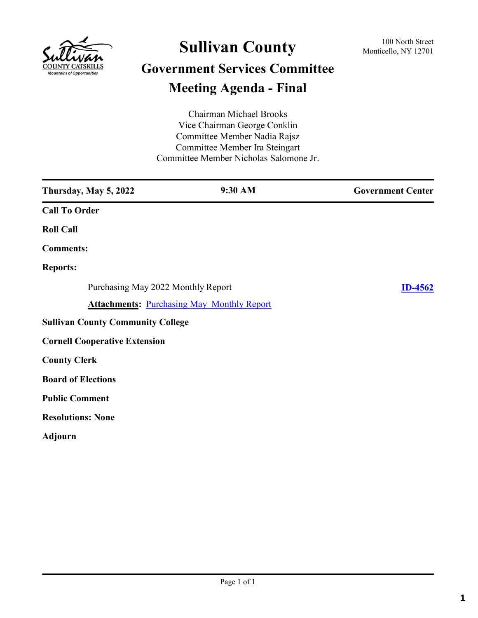

# **Sullivan County** 100 North Street 100 North Street **Government Services Committee Meeting Agenda - Final**

Chairman Michael Brooks Vice Chairman George Conklin Committee Member Nadia Rajsz Committee Member Ira Steingart Committee Member Nicholas Salomone Jr.

| Thursday, May 5, 2022                    | 9:30 AM                                           | <b>Government Center</b> |
|------------------------------------------|---------------------------------------------------|--------------------------|
| <b>Call To Order</b>                     |                                                   |                          |
| <b>Roll Call</b>                         |                                                   |                          |
| <b>Comments:</b>                         |                                                   |                          |
| <b>Reports:</b>                          |                                                   |                          |
| Purchasing May 2022 Monthly Report       |                                                   | <b>ID-4562</b>           |
|                                          | <b>Attachments: Purchasing May Monthly Report</b> |                          |
| <b>Sullivan County Community College</b> |                                                   |                          |
| <b>Cornell Cooperative Extension</b>     |                                                   |                          |
| <b>County Clerk</b>                      |                                                   |                          |
| <b>Board of Elections</b>                |                                                   |                          |
| <b>Public Comment</b>                    |                                                   |                          |
| <b>Resolutions: None</b>                 |                                                   |                          |
| <b>Adjourn</b>                           |                                                   |                          |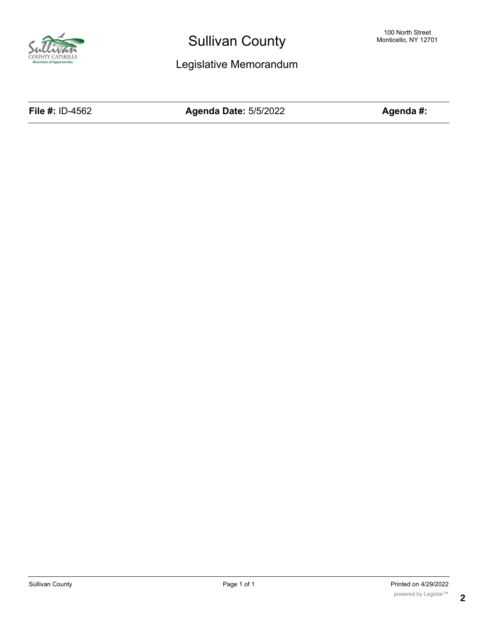

## Sullivan County

Legislative Memorandum

**File #:** ID-4562 **Agenda Date:** 5/5/2022 **Agenda #:**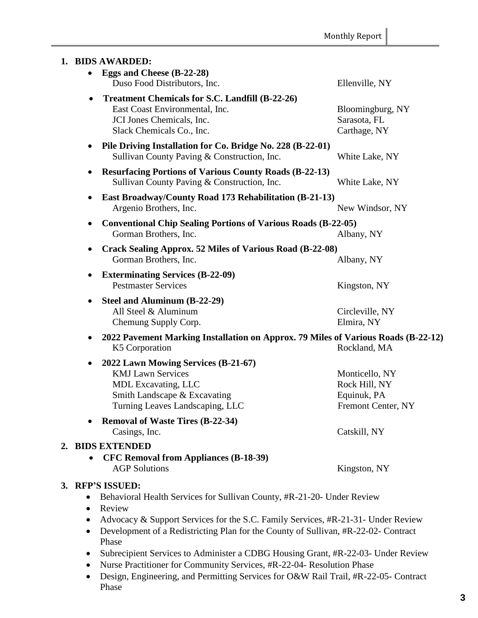|           | 1. BIDS AWARDED:                                                                                                                                                                                                                                                              |                                                                      |  |
|-----------|-------------------------------------------------------------------------------------------------------------------------------------------------------------------------------------------------------------------------------------------------------------------------------|----------------------------------------------------------------------|--|
|           | Eggs and Cheese (B-22-28)<br>Duso Food Distributors, Inc.                                                                                                                                                                                                                     | Ellenville, NY                                                       |  |
|           | <b>Treatment Chemicals for S.C. Landfill (B-22-26)</b><br>East Coast Environmental, Inc.<br>JCI Jones Chemicals, Inc.<br>Slack Chemicals Co., Inc.                                                                                                                            | Bloomingburg, NY<br>Sarasota, FL<br>Carthage, NY                     |  |
|           | Pile Driving Installation for Co. Bridge No. 228 (B-22-01)<br>Sullivan County Paving & Construction, Inc.                                                                                                                                                                     | White Lake, NY                                                       |  |
| ٠         | <b>Resurfacing Portions of Various County Roads (B-22-13)</b><br>Sullivan County Paving & Construction, Inc.                                                                                                                                                                  | White Lake, NY                                                       |  |
|           | East Broadway/County Road 173 Rehabilitation (B-21-13)<br>Argenio Brothers, Inc.                                                                                                                                                                                              | New Windsor, NY                                                      |  |
|           | <b>Conventional Chip Sealing Portions of Various Roads (B-22-05)</b><br>Gorman Brothers, Inc.                                                                                                                                                                                 | Albany, NY                                                           |  |
|           | <b>Crack Sealing Approx. 52 Miles of Various Road (B-22-08)</b><br>Gorman Brothers, Inc.                                                                                                                                                                                      | Albany, NY                                                           |  |
| ٠         | <b>Exterminating Services (B-22-09)</b><br><b>Pestmaster Services</b>                                                                                                                                                                                                         | Kingston, NY                                                         |  |
|           | Steel and Aluminum (B-22-29)<br>All Steel & Aluminum<br>Chemung Supply Corp.                                                                                                                                                                                                  | Circleville, NY<br>Elmira, NY                                        |  |
|           | 2022 Pavement Marking Installation on Approx. 79 Miles of Various Roads (B-22-12)<br>K5 Corporation                                                                                                                                                                           | Rockland, MA                                                         |  |
|           | 2022 Lawn Mowing Services (B-21-67)<br><b>KMJ Lawn Services</b><br>MDL Excavating, LLC<br>Smith Landscape & Excavating<br>Turning Leaves Landscaping, LLC                                                                                                                     | Monticello, NY<br>Rock Hill, NY<br>Equinuk, PA<br>Fremont Center, NY |  |
|           | <b>Removal of Waste Tires (B-22-34)</b><br>Casings, Inc.                                                                                                                                                                                                                      | Catskill, NY                                                         |  |
|           | 2. BIDS EXTENDED<br><b>CFC Removal from Appliances (B-18-39)</b><br><b>AGP Solutions</b>                                                                                                                                                                                      | Kingston, NY                                                         |  |
| $\bullet$ | 3. RFP'S ISSUED:<br>Behavioral Health Services for Sullivan County, #R-21-20- Under Review<br>Review<br>Advocacy & Support Services for the S.C. Family Services, #R-21-31- Under Review<br>Development of a Redistricting Plan for the County of Sullivan #R-22-02- Contract |                                                                      |  |

- Development of a Redistricting Plan for the County of Sullivan, #R-22-02- Contract Phase
- Subrecipient Services to Administer a CDBG Housing Grant, #R-22-03- Under Review
- Nurse Practitioner for Community Services, #R-22-04- Resolution Phase
- Design, Engineering, and Permitting Services for O&W Rail Trail, #R-22-05- Contract Phase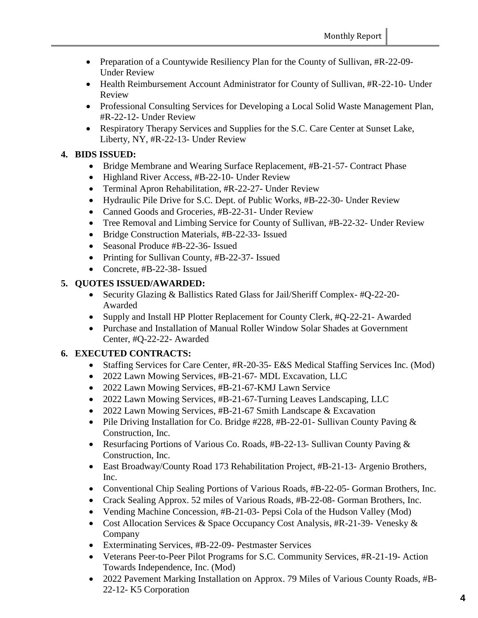- Preparation of a Countywide Resiliency Plan for the County of Sullivan, #R-22-09-Under Review
- Health Reimbursement Account Administrator for County of Sullivan, #R-22-10- Under Review
- Professional Consulting Services for Developing a Local Solid Waste Management Plan, #R-22-12- Under Review
- Respiratory Therapy Services and Supplies for the S.C. Care Center at Sunset Lake, Liberty, NY, #R-22-13- Under Review

### **4. BIDS ISSUED:**

- Bridge Membrane and Wearing Surface Replacement, #B-21-57- Contract Phase
- Highland River Access, #B-22-10- Under Review
- Terminal Apron Rehabilitation, #R-22-27- Under Review
- Hydraulic Pile Drive for S.C. Dept. of Public Works, #B-22-30- Under Review
- Canned Goods and Groceries, #B-22-31- Under Review
- Tree Removal and Limbing Service for County of Sullivan, #B-22-32- Under Review
- Bridge Construction Materials, #B-22-33- Issued
- Seasonal Produce #B-22-36- Issued
- Printing for Sullivan County, #B-22-37- Issued
- Concrete, #B-22-38- Issued

#### **5. QUOTES ISSUED/AWARDED:**

- Security Glazing & Ballistics Rated Glass for Jail/Sheriff Complex- #Q-22-20- Awarded
- Supply and Install HP Plotter Replacement for County Clerk, #Q-22-21- Awarded
- Purchase and Installation of Manual Roller Window Solar Shades at Government Center, #Q-22-22- Awarded

#### **6. EXECUTED CONTRACTS:**

- Staffing Services for Care Center, #R-20-35- E&S Medical Staffing Services Inc. (Mod)
- 2022 Lawn Mowing Services, #B-21-67- MDL Excavation, LLC
- 2022 Lawn Mowing Services, #B-21-67-KMJ Lawn Service
- 2022 Lawn Mowing Services, #B-21-67-Turning Leaves Landscaping, LLC
- 2022 Lawn Mowing Services, #B-21-67 Smith Landscape & Excavation
- Pile Driving Installation for Co. Bridge  $\#228$ ,  $\#B-22-01$  Sullivan County Paving  $\&$ Construction, Inc.
- Resurfacing Portions of Various Co. Roads, #B-22-13- Sullivan County Paving & Construction, Inc.
- East Broadway/County Road 173 Rehabilitation Project, #B-21-13- Argenio Brothers, Inc.
- Conventional Chip Sealing Portions of Various Roads, #B-22-05- Gorman Brothers, Inc.
- Crack Sealing Approx. 52 miles of Various Roads, #B-22-08- Gorman Brothers, Inc.
- Vending Machine Concession, #B-21-03- Pepsi Cola of the Hudson Valley (Mod)
- Cost Allocation Services & Space Occupancy Cost Analysis, #R-21-39- Venesky & Company
- Exterminating Services, #B-22-09- Pestmaster Services
- Veterans Peer-to-Peer Pilot Programs for S.C. Community Services, #R-21-19- Action Towards Independence, Inc. (Mod)
- 2022 Pavement Marking Installation on Approx. 79 Miles of Various County Roads, #B-22-12- K5 Corporation